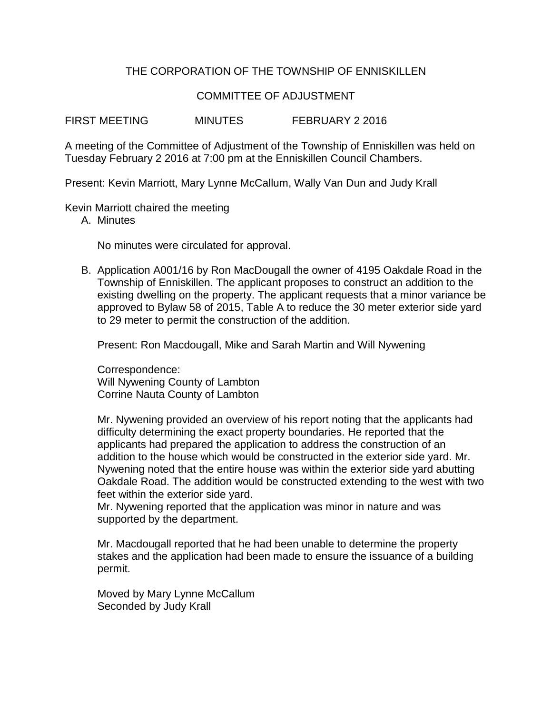## THE CORPORATION OF THE TOWNSHIP OF ENNISKILLEN

## COMMITTEE OF ADJUSTMENT

FIRST MEETING MINUTES FEBRUARY 2 2016

A meeting of the Committee of Adjustment of the Township of Enniskillen was held on Tuesday February 2 2016 at 7:00 pm at the Enniskillen Council Chambers.

Present: Kevin Marriott, Mary Lynne McCallum, Wally Van Dun and Judy Krall

Kevin Marriott chaired the meeting

A. Minutes

No minutes were circulated for approval.

B. Application A001/16 by Ron MacDougall the owner of 4195 Oakdale Road in the Township of Enniskillen. The applicant proposes to construct an addition to the existing dwelling on the property. The applicant requests that a minor variance be approved to Bylaw 58 of 2015, Table A to reduce the 30 meter exterior side yard to 29 meter to permit the construction of the addition.

Present: Ron Macdougall, Mike and Sarah Martin and Will Nywening

Correspondence: Will Nywening County of Lambton Corrine Nauta County of Lambton

Mr. Nywening provided an overview of his report noting that the applicants had difficulty determining the exact property boundaries. He reported that the applicants had prepared the application to address the construction of an addition to the house which would be constructed in the exterior side yard. Mr. Nywening noted that the entire house was within the exterior side yard abutting Oakdale Road. The addition would be constructed extending to the west with two feet within the exterior side yard.

Mr. Nywening reported that the application was minor in nature and was supported by the department.

Mr. Macdougall reported that he had been unable to determine the property stakes and the application had been made to ensure the issuance of a building permit.

Moved by Mary Lynne McCallum Seconded by Judy Krall